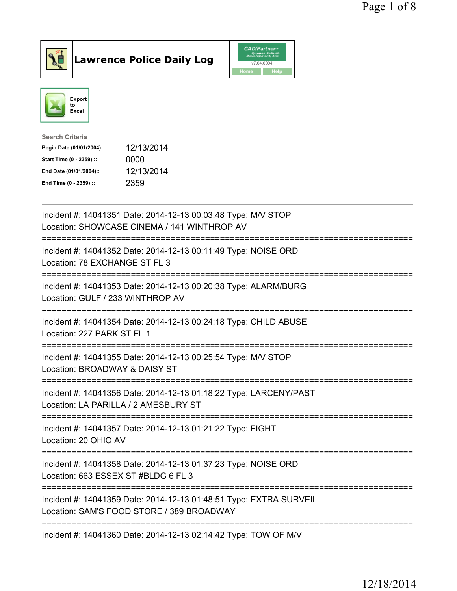



| <b>Search Criteria</b>    |            |
|---------------------------|------------|
| Begin Date (01/01/2004):: | 12/13/2014 |
| Start Time (0 - 2359) ::  | 0000       |
| End Date (01/01/2004)::   | 12/13/2014 |
| End Time (0 - 2359) ::    | 2359       |

| Incident #: 14041351 Date: 2014-12-13 00:03:48 Type: M/V STOP<br>Location: SHOWCASE CINEMA / 141 WINTHROP AV                                |
|---------------------------------------------------------------------------------------------------------------------------------------------|
| Incident #: 14041352 Date: 2014-12-13 00:11:49 Type: NOISE ORD<br>Location: 78 EXCHANGE ST FL 3                                             |
| Incident #: 14041353 Date: 2014-12-13 00:20:38 Type: ALARM/BURG<br>Location: GULF / 233 WINTHROP AV<br>=======================              |
| Incident #: 14041354 Date: 2014-12-13 00:24:18 Type: CHILD ABUSE<br>Location: 227 PARK ST FL 1                                              |
| Incident #: 14041355 Date: 2014-12-13 00:25:54 Type: M/V STOP<br>Location: BROADWAY & DAISY ST<br>:==========================               |
| Incident #: 14041356 Date: 2014-12-13 01:18:22 Type: LARCENY/PAST<br>Location: LA PARILLA / 2 AMESBURY ST<br>:============================= |
| Incident #: 14041357 Date: 2014-12-13 01:21:22 Type: FIGHT<br>Location: 20 OHIO AV                                                          |
| Incident #: 14041358 Date: 2014-12-13 01:37:23 Type: NOISE ORD<br>Location: 663 ESSEX ST #BLDG 6 FL 3                                       |
| Incident #: 14041359 Date: 2014-12-13 01:48:51 Type: EXTRA SURVEIL<br>Location: SAM'S FOOD STORE / 389 BROADWAY                             |
| Incident #: 14041360 Date: 2014-12-13 02:14:42 Type: TOW OF M/V                                                                             |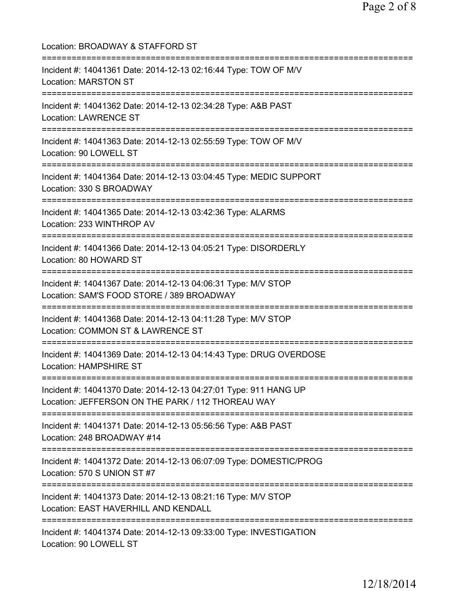| Location: BROADWAY & STAFFORD ST                                                                                             |
|------------------------------------------------------------------------------------------------------------------------------|
| Incident #: 14041361 Date: 2014-12-13 02:16:44 Type: TOW OF M/V<br><b>Location: MARSTON ST</b>                               |
| Incident #: 14041362 Date: 2014-12-13 02:34:28 Type: A&B PAST<br><b>Location: LAWRENCE ST</b>                                |
| Incident #: 14041363 Date: 2014-12-13 02:55:59 Type: TOW OF M/V<br>Location: 90 LOWELL ST                                    |
| Incident #: 14041364 Date: 2014-12-13 03:04:45 Type: MEDIC SUPPORT<br>Location: 330 S BROADWAY                               |
| ================================<br>Incident #: 14041365 Date: 2014-12-13 03:42:36 Type: ALARMS<br>Location: 233 WINTHROP AV |
| Incident #: 14041366 Date: 2014-12-13 04:05:21 Type: DISORDERLY<br>Location: 80 HOWARD ST                                    |
| Incident #: 14041367 Date: 2014-12-13 04:06:31 Type: M/V STOP<br>Location: SAM'S FOOD STORE / 389 BROADWAY                   |
| Incident #: 14041368 Date: 2014-12-13 04:11:28 Type: M/V STOP<br>Location: COMMON ST & LAWRENCE ST                           |
| Incident #: 14041369 Date: 2014-12-13 04:14:43 Type: DRUG OVERDOSE<br><b>Location: HAMPSHIRE ST</b>                          |
| Incident #: 14041370 Date: 2014-12-13 04:27:01 Type: 911 HANG UP<br>Location: JEFFERSON ON THE PARK / 112 THOREAU WAY        |
| Incident #: 14041371 Date: 2014-12-13 05:56:56 Type: A&B PAST<br>Location: 248 BROADWAY #14                                  |
| Incident #: 14041372 Date: 2014-12-13 06:07:09 Type: DOMESTIC/PROG<br>Location: 570 S UNION ST #7                            |
| Incident #: 14041373 Date: 2014-12-13 08:21:16 Type: M/V STOP<br>Location: EAST HAVERHILL AND KENDALL                        |
| Incident #: 14041374 Date: 2014-12-13 09:33:00 Type: INVESTIGATION<br>Location: 90 LOWELL ST                                 |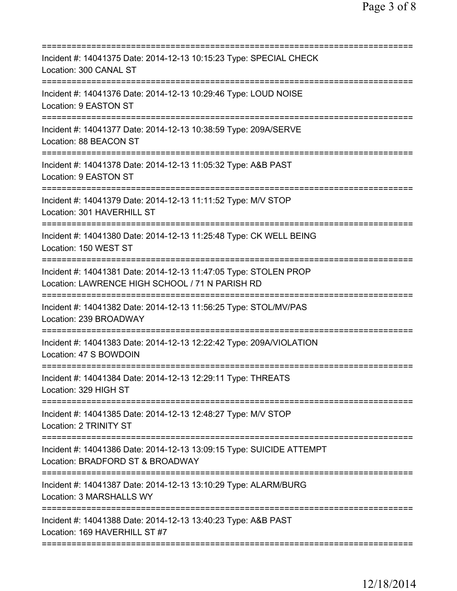| Incident #: 14041375 Date: 2014-12-13 10:15:23 Type: SPECIAL CHECK<br>Location: 300 CANAL ST                                                               |
|------------------------------------------------------------------------------------------------------------------------------------------------------------|
| Incident #: 14041376 Date: 2014-12-13 10:29:46 Type: LOUD NOISE<br>Location: 9 EASTON ST                                                                   |
| Incident #: 14041377 Date: 2014-12-13 10:38:59 Type: 209A/SERVE<br>Location: 88 BEACON ST                                                                  |
| Incident #: 14041378 Date: 2014-12-13 11:05:32 Type: A&B PAST<br>Location: 9 EASTON ST                                                                     |
| Incident #: 14041379 Date: 2014-12-13 11:11:52 Type: M/V STOP<br>Location: 301 HAVERHILL ST                                                                |
| Incident #: 14041380 Date: 2014-12-13 11:25:48 Type: CK WELL BEING<br>Location: 150 WEST ST                                                                |
| Incident #: 14041381 Date: 2014-12-13 11:47:05 Type: STOLEN PROP<br>Location: LAWRENCE HIGH SCHOOL / 71 N PARISH RD<br>=================================== |
| Incident #: 14041382 Date: 2014-12-13 11:56:25 Type: STOL/MV/PAS<br>Location: 239 BROADWAY                                                                 |
| Incident #: 14041383 Date: 2014-12-13 12:22:42 Type: 209A/VIOLATION<br>Location: 47 S BOWDOIN                                                              |
| Incident #: 14041384 Date: 2014-12-13 12:29:11 Type: THREATS<br>Location: 329 HIGH ST                                                                      |
| Incident #: 14041385 Date: 2014-12-13 12:48:27 Type: M/V STOP<br>Location: 2 TRINITY ST                                                                    |
| Incident #: 14041386 Date: 2014-12-13 13:09:15 Type: SUICIDE ATTEMPT<br>Location: BRADFORD ST & BROADWAY                                                   |
| Incident #: 14041387 Date: 2014-12-13 13:10:29 Type: ALARM/BURG<br>Location: 3 MARSHALLS WY                                                                |
| Incident #: 14041388 Date: 2014-12-13 13:40:23 Type: A&B PAST<br>Location: 169 HAVERHILL ST #7                                                             |
|                                                                                                                                                            |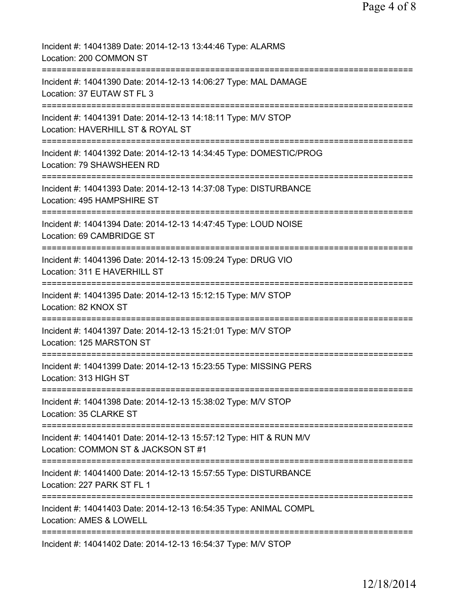| Incident #: 14041389 Date: 2014-12-13 13:44:46 Type: ALARMS<br>Location: 200 COMMON ST                             |
|--------------------------------------------------------------------------------------------------------------------|
| Incident #: 14041390 Date: 2014-12-13 14:06:27 Type: MAL DAMAGE<br>Location: 37 EUTAW ST FL 3                      |
| Incident #: 14041391 Date: 2014-12-13 14:18:11 Type: M/V STOP<br>Location: HAVERHILL ST & ROYAL ST                 |
| Incident #: 14041392 Date: 2014-12-13 14:34:45 Type: DOMESTIC/PROG<br>Location: 79 SHAWSHEEN RD                    |
| Incident #: 14041393 Date: 2014-12-13 14:37:08 Type: DISTURBANCE<br>Location: 495 HAMPSHIRE ST                     |
| Incident #: 14041394 Date: 2014-12-13 14:47:45 Type: LOUD NOISE<br>Location: 69 CAMBRIDGE ST                       |
| Incident #: 14041396 Date: 2014-12-13 15:09:24 Type: DRUG VIO<br>Location: 311 E HAVERHILL ST                      |
| Incident #: 14041395 Date: 2014-12-13 15:12:15 Type: M/V STOP<br>Location: 82 KNOX ST                              |
| =====================<br>Incident #: 14041397 Date: 2014-12-13 15:21:01 Type: M/V STOP<br>Location: 125 MARSTON ST |
| Incident #: 14041399 Date: 2014-12-13 15:23:55 Type: MISSING PERS<br>Location: 313 HIGH ST                         |
| Incident #: 14041398 Date: 2014-12-13 15:38:02 Type: M/V STOP<br>Location: 35 CLARKE ST                            |
| Incident #: 14041401 Date: 2014-12-13 15:57:12 Type: HIT & RUN M/V<br>Location: COMMON ST & JACKSON ST #1          |
| Incident #: 14041400 Date: 2014-12-13 15:57:55 Type: DISTURBANCE<br>Location: 227 PARK ST FL 1                     |
| Incident #: 14041403 Date: 2014-12-13 16:54:35 Type: ANIMAL COMPL<br><b>Location: AMES &amp; LOWELL</b>            |
| Incident #: 14041402 Date: 2014-12-13 16:54:37 Type: M/V STOP                                                      |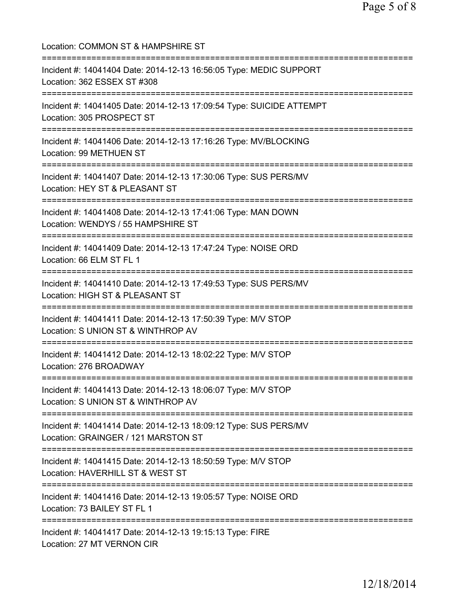Location: COMMON ST & HAMPSHIRE ST =========================================================================== Incident #: 14041404 Date: 2014-12-13 16:56:05 Type: MEDIC SUPPORT Location: 362 ESSEX ST #308 =========================================================================== Incident #: 14041405 Date: 2014-12-13 17:09:54 Type: SUICIDE ATTEMPT Location: 305 PROSPECT ST =========================================================================== Incident #: 14041406 Date: 2014-12-13 17:16:26 Type: MV/BLOCKING Location: 99 METHUEN ST =========================================================================== Incident #: 14041407 Date: 2014-12-13 17:30:06 Type: SUS PERS/MV Location: HEY ST & PLEASANT ST =========================================================================== Incident #: 14041408 Date: 2014-12-13 17:41:06 Type: MAN DOWN Location: WENDYS / 55 HAMPSHIRE ST =========================================================================== Incident #: 14041409 Date: 2014-12-13 17:47:24 Type: NOISE ORD Location: 66 ELM ST FL 1 =========================================================================== Incident #: 14041410 Date: 2014-12-13 17:49:53 Type: SUS PERS/MV Location: HIGH ST & PLEASANT ST =========================================================================== Incident #: 14041411 Date: 2014-12-13 17:50:39 Type: M/V STOP Location: S UNION ST & WINTHROP AV =========================================================================== Incident #: 14041412 Date: 2014-12-13 18:02:22 Type: M/V STOP Location: 276 BROADWAY =========================================================================== Incident #: 14041413 Date: 2014-12-13 18:06:07 Type: M/V STOP Location: S UNION ST & WINTHROP AV =========================================================================== Incident #: 14041414 Date: 2014-12-13 18:09:12 Type: SUS PERS/MV Location: GRAINGER / 121 MARSTON ST =========================================================================== Incident #: 14041415 Date: 2014-12-13 18:50:59 Type: M/V STOP Location: HAVERHILL ST & WEST ST =========================================================================== Incident #: 14041416 Date: 2014-12-13 19:05:57 Type: NOISE ORD Location: 73 BAILEY ST FL 1 =========================================================================== Incident #: 14041417 Date: 2014-12-13 19:15:13 Type: FIRE Location: 27 MT VERNON CIR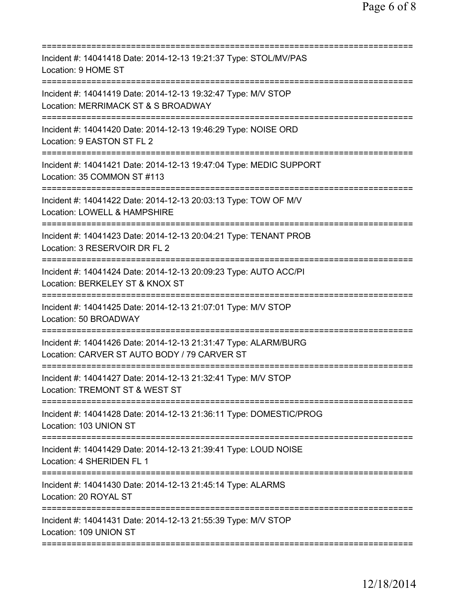| Incident #: 14041418 Date: 2014-12-13 19:21:37 Type: STOL/MV/PAS<br>Location: 9 HOME ST                                           |
|-----------------------------------------------------------------------------------------------------------------------------------|
| Incident #: 14041419 Date: 2014-12-13 19:32:47 Type: M/V STOP<br>Location: MERRIMACK ST & S BROADWAY                              |
| Incident #: 14041420 Date: 2014-12-13 19:46:29 Type: NOISE ORD<br>Location: 9 EASTON ST FL 2                                      |
| Incident #: 14041421 Date: 2014-12-13 19:47:04 Type: MEDIC SUPPORT<br>Location: 35 COMMON ST #113                                 |
| Incident #: 14041422 Date: 2014-12-13 20:03:13 Type: TOW OF M/V<br>Location: LOWELL & HAMPSHIRE                                   |
| Incident #: 14041423 Date: 2014-12-13 20:04:21 Type: TENANT PROB<br>Location: 3 RESERVOIR DR FL 2<br>======================       |
| Incident #: 14041424 Date: 2014-12-13 20:09:23 Type: AUTO ACC/PI<br>Location: BERKELEY ST & KNOX ST<br>========================== |
| Incident #: 14041425 Date: 2014-12-13 21:07:01 Type: M/V STOP<br>Location: 50 BROADWAY                                            |
| Incident #: 14041426 Date: 2014-12-13 21:31:47 Type: ALARM/BURG<br>Location: CARVER ST AUTO BODY / 79 CARVER ST                   |
| Incident #: 14041427 Date: 2014-12-13 21:32:41 Type: M/V STOP<br>Location: TREMONT ST & WEST ST                                   |
| Incident #: 14041428 Date: 2014-12-13 21:36:11 Type: DOMESTIC/PROG<br>Location: 103 UNION ST                                      |
| Incident #: 14041429 Date: 2014-12-13 21:39:41 Type: LOUD NOISE<br>Location: 4 SHERIDEN FL 1                                      |
| Incident #: 14041430 Date: 2014-12-13 21:45:14 Type: ALARMS<br>Location: 20 ROYAL ST                                              |
| Incident #: 14041431 Date: 2014-12-13 21:55:39 Type: M/V STOP<br>Location: 109 UNION ST                                           |
|                                                                                                                                   |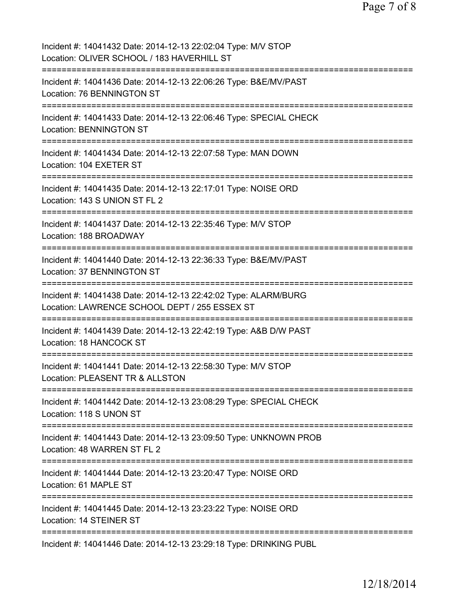| Incident #: 14041432 Date: 2014-12-13 22:02:04 Type: M/V STOP<br>Location: OLIVER SCHOOL / 183 HAVERHILL ST                |
|----------------------------------------------------------------------------------------------------------------------------|
| Incident #: 14041436 Date: 2014-12-13 22:06:26 Type: B&E/MV/PAST<br>Location: 76 BENNINGTON ST                             |
| Incident #: 14041433 Date: 2014-12-13 22:06:46 Type: SPECIAL CHECK<br>Location: BENNINGTON ST                              |
| Incident #: 14041434 Date: 2014-12-13 22:07:58 Type: MAN DOWN<br>Location: 104 EXETER ST<br>-============================= |
| Incident #: 14041435 Date: 2014-12-13 22:17:01 Type: NOISE ORD<br>Location: 143 S UNION ST FL 2<br>=================       |
| Incident #: 14041437 Date: 2014-12-13 22:35:46 Type: M/V STOP<br>Location: 188 BROADWAY                                    |
| Incident #: 14041440 Date: 2014-12-13 22:36:33 Type: B&E/MV/PAST<br>Location: 37 BENNINGTON ST                             |
| Incident #: 14041438 Date: 2014-12-13 22:42:02 Type: ALARM/BURG<br>Location: LAWRENCE SCHOOL DEPT / 255 ESSEX ST           |
| Incident #: 14041439 Date: 2014-12-13 22:42:19 Type: A&B D/W PAST<br>Location: 18 HANCOCK ST                               |
| Incident #: 14041441 Date: 2014-12-13 22:58:30 Type: M/V STOP<br>Location: PLEASENT TR & ALLSTON                           |
| Incident #: 14041442 Date: 2014-12-13 23:08:29 Type: SPECIAL CHECK<br>Location: 118 S UNON ST                              |
| Incident #: 14041443 Date: 2014-12-13 23:09:50 Type: UNKNOWN PROB<br>Location: 48 WARREN ST FL 2                           |
| =======================<br>Incident #: 14041444 Date: 2014-12-13 23:20:47 Type: NOISE ORD<br>Location: 61 MAPLE ST         |
| ======================<br>Incident #: 14041445 Date: 2014-12-13 23:23:22 Type: NOISE ORD<br>Location: 14 STEINER ST        |
| Incident #: 14041446 Date: 2014-12-13 23:29:18 Type: DRINKING PUBL                                                         |